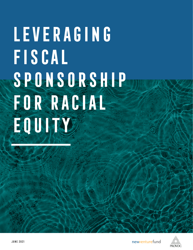# **Leveraging Fiscal Sponsorship For Racial Equity**

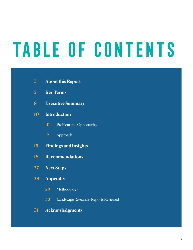# **Table of Contents**

| $\overline{3}$ | <b>About this Report</b> |  |
|----------------|--------------------------|--|
|----------------|--------------------------|--|

- **Key Terms**
- **Executive Summary**
- **Introduction**
	- Problem and Opportunity
	- Approach
- **Findings and Insights**
- **Recommendations**
- **Next Steps**
- **Appendix**
	- Methodology
	- Landscape Research Reports Reviewed
- **Acknowledgments**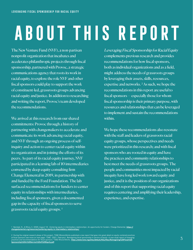# **About this report**

The New Venture Fund (NVF), a non-partisan nonprofit organization that incubates and accelerates philanthropic projects through fiscal sponsorship, partnered with Provoc, a strategic communications agency that roots its work in racial equity, to explore the role NVF and other fiscal sponsors could play to support the work of constituent-led, grassroots groups advancing racial equity and justice. In addition to researching and writing the report, Provoc's team developed the recommendations.

We arrived at this research from our shared commitments: Provoc through a history of partnering with changemakers to accelerate and communicate its work advancing racial equity, and NVF through an ongoing process of selfinquiry and action to center racial equity within its organization and in joining the efforts of its peers. As part of its racial equity journey, NVF participated in a learning lab of 10 intermediaries convened by deep equity consulting firm Change Elemental in 2019, in partnership with and funded by the Ford Foundation. The lab surfaced recommendations for funders to center equity in relationships with intermediaries, including fiscal sponsors, given a documented gap in the capacity of fiscal sponsors to serve grassroots racial equity groups. 1

Leveraging Fiscal Sponsorship for Racial Equity complements previous research and provides recommendations for how fiscal sponsors, both as individual organizations and as a field, might address the needs of grassroots groups by leveraging their assets, skills, resources, expertise and networks.<sup>2</sup> As such, we hope the recommendations in this report are useful to fiscal sponsors — especially those for whom fiscal sponsorship is their primary purpose, with resources and relationships that can be leveraged to implement and sustain the recommendations within.

We hope these recommendations also resonate with the staff and leaders of grassroots racial equity groups, whose perspectives and needs were prioritized in this research; and with fiscal sponsors who are rooted in equity and have the practices and community relationships to best meet the needs of grassroots groups. The people and communities most impacted by racial inequity have long led work toward equity and justice, and it is the position of our organizations and of this report that supporting racial equity requires centering and amplifying their leadership, experience, and expertise.

1 Bamdad, N., & Misra, S. (2020, August 14). *Centering equity in intermediary relationships: An opportunity for funders*. Change Elemental. <u>[https://](https://changeelemental.org/resources/centering-equity-in-intermediary-relationships/)</u><br><u>changeelemental.org/resources/centering-equity-in-intermediary-relati</u>

2 During the original research phase of this project, TSNE MissionWorks published a new report that goes into great detail on equity-centered practices<br>at fiscal sponsors (see more on next page): TSNE. (2021, February). *R* practices and recommendations for fiscal sponsors. TSNE MissionWorks. **[https://www.tsne.org/sites/default/files/files/Reimagining%20Fiscal%20](https://www.tsne.org/sites/default/files/files/Reimagining%20Fiscal%20Sponsorship%20in%20Service%20of%20Equity.pdf) [Sponsorship%20in%20Service%20of%20Equity.pdf](https://www.tsne.org/sites/default/files/files/Reimagining%20Fiscal%20Sponsorship%20in%20Service%20of%20Equity.pdf)**.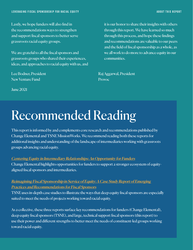Lastly, we hope funders will also find in the recommendations ways to strengthen and support fiscal sponsors to better serve grassroots racial equity groups.

We are grateful to all the fiscal sponsors and grassroots groups who shared their experiences, ideas, and approaches to racial equity with us, and

Lee Bodner, President New Venture Fund

June 2021

it is our honor to share their insights with others through this report. We have learned so much through this process, and hope these findings and recommendations are valuable to our peers and the field of fiscal sponsorship as a whole, as we all work to do more to advance equity in our communities.

Raj Aggarwal, President Provoc

# Recommended Reading

This report is informed by and complements core research and recommendations published by Change Elemental and TSNE MissionWorks. We recommend reading both these reports for additional insights and understanding of the landscape of intermediaries working with grassroots groups advancing racial equity.

### [Centering Equity in Intermediary Relationships: An Opportunity for Funders](https://changeelemental.org/resources/centering-equity-in-intermediary-relationships/)

Change Elemental highlights opportunities for funders to support a stronger ecosystem of equityaligned fiscal sponsors and intermediaries.

### [Reimagining Fiscal Sponsorship in Service of Equity: A Case Study Report of Emerging](https://www.tsne.org/reimagining-fiscal-sponsorship-report)  [Practices and Recommendations for Fiscal Sponsors](https://www.tsne.org/reimagining-fiscal-sponsorship-report)

TSNE uses in-depth case studies to illustrate the ways that deep equity fiscal sponsors are especially suited to meet the needs of projects working toward racial equity.

As a collective, these three reports surface key recommendations for funders (Change Elemental), deep equity fiscal sponsors (TSNE), and large, technical support fiscal sponsors (this report) to use their power and different strengths to better meet the needs of constituent-led groups working toward racial equity.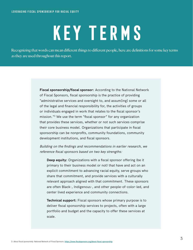# **Key terms**

Recognizing that words can mean different things to different people, here are definitions for some key terms as they are used throughout this report.

> **Fiscal sponsorship/fiscal sponsor:** According to the National Network of Fiscal Sponsors, fiscal sponsorship is the practice of providing "administrative services and oversight to, and assum[ing] some or all of the legal and financial responsibility for, the activities of groups or individuals engaged in work that relates to the fiscal sponsor's mission."3 We use the term "fiscal sponsor" for any organization that provides these services, whether or not such services comprise their core business model. Organizations that participate in fiscal sponsorship can be nonprofits, community foundations, community development institutions, and fiscal sponsors.

Building on the findings and recommendations in earlier research, we reference fiscal sponsors based on two key strengths:

**Deep equity:** Organizations with a fiscal sponsor offering (be it primary to their business model or not) that have and act on an explicit commitment to advancing racial equity, serve groups who share that commitment, and provide services with a culturally relevant approach aligned with that commitment. These sponsors are often Black-, Indigenous-, and other people-of-color-led, and center lived experience and community connections.

**Technical support:** Fiscal sponsors whose primary purpose is to deliver fiscal sponsorship services to projects, often with a large portfolio and budget and the capacity to offer these services at scale.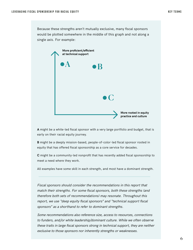Because these strengths aren't mutually exclusive, many fiscal sponsors would be plotted somewhere in the middle of this graph and not along a single axis. For example:



**A** might be a white-led fiscal sponsor with a very large portfolio and budget, that is early on their racial equity journey.

**B** might be a deeply mission-based, people-of-color-led fiscal sponsor rooted in equity that has offered fiscal sponsorship as a core service for decades.

**C** might be a community-led nonprofit that has recently added fiscal sponsorship to meet a need where they work.

All examples have some skill in each strength, and most have a dominant strength.

Fiscal sponsors should consider the recommendations in this report that match their strengths. For some fiscal sponsors, both these strengths (and therefore both sets of recommendations) may resonate. Throughout this report, we use "deep equity fiscal sponsors" and "technical support fiscal sponsors" as a shorthand to refer to dominant strengths.

Some recommendations also reference size, access to resources, connections to funders, and/or white leadership/dominant culture. While we often observe these traits in large fiscal sponsors strong in technical support, they are neither exclusive to those sponsors nor inherently strengths or weaknesses.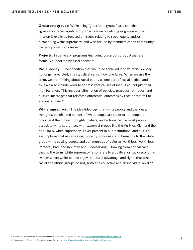**Grassroots groups:** We're using "grassroots groups" as a shorthand for "grassroots racial equity groups," which we're defining as groups whose mission is explicitly focused on issues relating to racial equity and/or dismantling white supremacy, and who are led by members of the community the group intends to serve.

**Projects:** Initiatives or programs (including grassroots groups) that are formally supported by fiscal sponsors.

**Racial equity:** "The condition that would be achieved if one's racial identity no longer predicted, in a statistical sense, how one fares. When we use the term, we are thinking about racial equity as one part of racial justice, and thus we also include work to address root causes of inequities, not just their manifestation. This includes elimination of policies, practices, attitudes, and cultural messages that reinforce differential outcomes by race or that fail to eliminate them."4

**White supremacy:** "The idea (ideology) that white people and the ideas, thoughts, beliefs, and actions of white people are superior to [people of color] and their ideas, thoughts, beliefs, and actions. While most people associate white supremacy with extremist groups like the Ku Klux Klan and the neo-Nazis, white supremacy is ever present in our institutional and cultural assumptions that assign value, morality, goodness, and humanity to the white group while casting people and communities of color as worthless (worth less), immoral, bad, and inhuman and 'undeserving.' Drawing from critical race theory, the term 'white supremacy' also refers to a political or socio-economic system where white people enjoy structural advantage and rights that other racial and ethnic groups do not, both at a collective and an individual level."5

5 What is racism? Dismantling Racism Works Web Workbook. **<https://www.dismantlingracism.org/racism-defined.html>**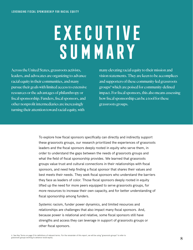# **EXECUTIVE Summary**

Across the United States, grassroots activists, leaders, and advocates are organizing to advance racial equity in their communities, and many pursue their goals with limited access to extensive resources or the advantages of philanthropy or fiscal sponsorship. Funders, fiscal sponsors, and other nonprofit intermediaries are increasingly turning their attention toward racial equity, with

many elevating racial equity to their mission and vision statements. They are keen to be accomplices and supporters of these community-led grassroots groups6 which are poised for community-defined impact. For fiscal sponsors, this also means assessing how fiscal sponsorship can be a tool for these grassroots groups.

To explore how fiscal sponsors specifically can directly and indirectly support these grassroots groups, our research prioritized the experiences of grassroots leaders and the fiscal sponsors deeply rooted in equity who serve them, in order to understand the gaps between the needs of grassroots groups and what the field of fiscal sponsorship provides. We learned that grassroots groups value trust and cultural connections in their relationships with fiscal sponsors, and need help finding a fiscal sponsor that shares their values and best meets their needs. They seek fiscal sponsors who understand the barriers they face as leaders of color. Those fiscal sponsors deeply rooted in equity lifted up the need for more peers equipped to serve grassroots groups, for more resources to increase their own capacity, and for better understanding of fiscal sponsorship among funders.

Systemic racism, funder power dynamics, and limited resources and relationships are challenges that also impact many fiscal sponsors. And, because power is relational and relative, some fiscal sponsors still have strengths and access they can leverage in support of grassroots groups or other fiscal sponsors.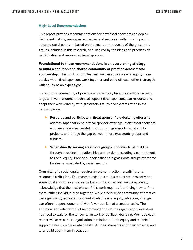#### **High-Level Recommendations**

This report provides recommendations for how fiscal sponsors can deploy their assets, skills, resources, expertise, and networks with more impact to advance racial equity — based on the needs and requests of the grassroots groups included in this research, and inspired by the ideas and practices of participating and researched fiscal sponsors.

**Foundational to these recommendations is an overarching strategy to build a coalition and shared community of practice across fiscal sponsorship.** This work is complex, and we can advance racial equity more quickly when fiscal sponsors work together and build off each other's strengths with equity as an explicit goal.

Through this community of practice and coalition, fiscal sponsors, especially large and well-resourced technical support fiscal sponsors, can resource and adapt their work directly with grassroots groups and systems-wide in the following ways:

- **Resource and participate in fiscal sponsor field-building efforts** to address gaps that exist in fiscal sponsor offerings, assist fiscal sponsors who are already successful in supporting grassroots racial equity projects, and bridge the gap between these grassroots groups and funders.
- **When directly serving grassroots groups,** prioritize trust-building through investing in relationships and by demonstrating a commitment to racial equity. Provide supports that help grassroots groups overcome barriers exacerbated by racial inequity.

Committing to racial equity requires investment, action, creativity, and resource distribution. The recommendations in this report are ideas of what some fiscal sponsors can do individually or together, and we transparently acknowledge that the next phase of this work requires identifying how to fund them, either individually or together. While a field-wide community of practice can significantly increase the speed at which racial equity advances, change can often happen sooner and with fewer barriers at a smaller scale. The adoption (and adaptation) of recommendations at the organization level does not need to wait for the longer-term work of coalition-building. We hope each reader will assess their organization in relation to both equity and technical support, take from these what best suits their strengths and their projects, and later build upon them in coalition.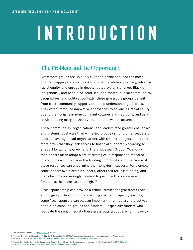# **Introduction**

# The Problem and the Opportunity

Grassroots groups are uniquely suited to define and lead the most culturally appropriate solutions to dismantle white supremacy, advance racial equity, and engage in deeply rooted systems change. Black-, Indigenous-, and people-of-color-led, and rooted in local communities, geographies, and political contexts, these grassroots groups benefit from trust, community support, and deep understanding of issues. They often introduce innovative approaches to advancing racial equity<sup>7</sup> due to their origins in non-dominant cultures and traditions, and as a result of being marginalized by traditional power structures.

These communities, organizations, and leaders face greater challenges and systemic obstacles than white-led groups or nonprofits. Leaders of color, on average, lead organizations with smaller budgets and report more often that they lack access to financial support.<sup>8</sup> According to a report by Echoing Green and The Bridgespan Group, "We found that leaders often adopt a set of strategies in response to repeated interactions with bias from the funding community, and that some of these responses can undermine their long-term success. For example, some leaders avoid certain funders, others ask for less funding, and many become increasingly hesitant to push back or disagree with funders as the stakes are too high."9

Fiscal sponsorship can provide a critical service for grassroots racial equity groups. In addition to providing cost- and capacity-savings, some fiscal sponsors can play an important intermediary role between people-of-color-led groups and funders — especially funders who replicate the racial inequity these grassroots groups are fighting  $-$  by

<sup>7</sup> See Movement Generation's **[Just Transition](https://movementgeneration.org/justtransition/)** framework.

<sup>8</sup> Thomas-Breitfeld, S., Kunreuther, F., Biu, O., & Constantine, T. (2018) Nonprofit executives and the racial leadership gap: A race to lead brief. Race to Lead. **<https://racetolead.org/wp-content/uploads/2019/05/ED.CEO-Race-to-Lead-Brief.pdf>**

<sup>9</sup> Dorsey, C., Kim, P., Daniels, C., Sakaue, L., & Savage, B. (2020, May 4). Overcoming the racial bias in philanthropic funding (SSIR). **[https://](https://ssir.org/articles/entry/overcoming_the_racial_bias_in_philanthropic_funding) [ssir.org/articles/entry/overcoming\\_the\\_racial\\_bias\\_in\\_philanthropic\\_funding](https://ssir.org/articles/entry/overcoming_the_racial_bias_in_philanthropic_funding)**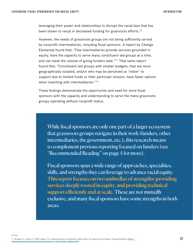leveraging their power and relationships to disrupt the racial bias that has been shown to result in decreased funding for grassroots efforts.<sup>10</sup>

However, the needs of grassroots groups are not being sufficiently served by nonprofit intermediaries, including fiscal sponsors. A report by Change Elemental found that, "Few intermediaries provide services grounded in equity, have the capacity to serve many constituent-led groups at a time, and can meet the volume of giving funders seek."<sup>11</sup> That same report found that, "Constituent-led groups with smaller budgets, that are more geographically isolated, and/or who may be perceived as 'riskier' to support due to limited funds or their particular mission, have fewer options when matching with intermediaries."<sup>12</sup>

These findings demonstrate the opportunity and need for more fiscal sponsors with the capacity and understanding to serve the many grassroots groups operating without nonprofit status.

While fiscal sponsors are only one part of a larger ecosystem that grassroots groups navigate in their work (funders, other intermediaries, the government, etc.), this research means to complement previous reporting focused on funders (see "Recommended Reading" on page 4 for more).

Fiscal sponsors span a wide range of approaches, specialties, skills, and strengths they can leverage to advance racial equity. This report focuses on two umbrellas of strengths: providing services deeply rooted in equity, and providing technical support efficiently and at scale. These are not mutually exclusive, and many fiscal sponsors have some strengths in both areas.

10 Ibid.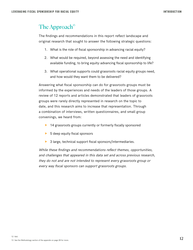# The Approach<sup>13</sup>

The findings and recommendations in this report reflect landscape and original research that sought to answer the following strategic questions:

- 1. What is the role of fiscal sponsorship in advancing racial equity?
- 2. What would be required, beyond assessing the need and identifying available funding, to bring equity-advancing fiscal sponsorship to life?
- 3. What operational supports could grassroots racial equity groups need, and how would they want them to be delivered?

Answering what fiscal sponsorship can do for grassroots groups must be informed by the experiences and needs of the leaders of those groups. A review of 12 reports and articles demonstrated that leaders of grassroots groups were rarely directly represented in research on the topic to date, and this research aims to increase that representation. Through a combination of interviews, written questionnaires, and small group convenings, we heard from:

- $\blacktriangleright$  14 grassroots groups currently or formerly fiscally sponsored
- $\triangleright$  5 deep equity fiscal sponsors
- $\triangleright$  3 large, technical support fiscal sponsors/intermediaries.

While these findings and recommendations reflect themes, opportunities, and challenges that appeared in this data set and across previous research, they do not and are not intended to represent every grassroots group or every way fiscal sponsors can support grassroots groups.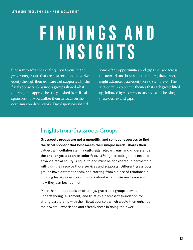# **Findings and Insights**

One way to advance racial equity is to ensure the grassroots groups that are best positioned to drive equity through their work are well supported by their fiscal sponsors. Grassroots groups shared what offerings and approaches they desired from fiscal sponsors that would allow them to focus on their core, mission-driven work. Fiscal sponsors shared

some of the opportunities and gaps they see across the network and in relation to funders, that, if met, might advance racial equity on a systems level. This section will explore the themes that each group lifted up, followed by recommendations for addressing these desires and gaps.

# Insights from Grassroots Groups

**Grassroots groups are not a monolith, and so need resources to find the fiscal sponsor that best meets their unique needs, shares their values, will collaborate in a culturally relevant way, and understands the challenges leaders of color face.** What grassroots groups need to advance racial equity is equal to and must be considered in partnership with how they receive those services and supports. Different grassroots groups have different needs, and starting from a place of relationshipbuilding helps prevent assumptions about what those needs are and how they can best be met.

More than unique tools or offerings, grassroots groups elevated understanding, alignment, and trust as a necessary foundation for strong partnership with their fiscal sponsor, which would then enhance their overall experience and effectiveness in doing their work.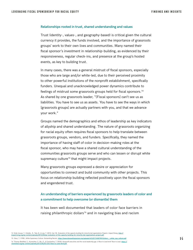#### **Relationships rooted in trust, shared understanding and values**

Trust (identity-, values-, and geography-based) is critical given the cultural currency it provides, the funds involved, and the importance of grassroots groups' work to their own lives and communities. Many named their fiscal sponsor's investment in relationship-building, as evidenced by their responsiveness, regular check-ins, and presence at the group's hosted events, as key to building trust.

In many cases, there was a general mistrust of fiscal sponsors, especially those who are large and/or white-led, due to their perceived proximity to other powerful institutions of the nonprofit establishment, specifically funders. Unequal and unacknowledged power dynamics contribute to feelings of mistrust some grassroots groups held for fiscal sponsors.14 As shared by one grassroots leader, "[Fiscal sponsors] can't see us as liabilities. You have to see us as assets. You have to see the ways in which [grassroots groups] are actually partners with you, and that we advance your work."

Groups named the demographics and ethos of leadership as key indicators of allyship and shared understanding. The nature of grassroots organizing for racial equity often requires fiscal sponsors to help translate between grassroots groups, vendors, and funders. Specifically, they named the importance of having staff of color in decision-making roles at the fiscal sponsor, who may have a shared cultural understanding of the communities grassroots groups serve and who can lessen or disrupt white supremacy culture<sup>15</sup> that might impact projects.

Many grassroots groups expressed a desire or appreciation for opportunities to connect and build community with other projects. This focus on relationship building reflected positively upon the fiscal sponsors and engendered trust.

### **An understanding of barriers experienced by grassroots leaders of color and a commitment to help overcome (or dismantle) them**

It has been well documented that leaders of color face barriers in raising philanthropic dollars<sup>16</sup> and in navigating bias and racism

15 Okun, T. (1998). White Supremacy Culture. Dismantling Racism. **[https://www.dismantlingracism.org/uploads/4/3/5/7/43579015/okun\\_-\\_white\\_sup\\_culture.pdf](https://www.dismantlingracism.org/uploads/4/3/5/7/43579015/okun_-_white_sup_culture.pdf)** 16 Thomas-Breitfeld, S., Kunreuther, F., Biu, O., & Constantine, T. (2018). No*nprofit executives and the racial leadership gap: A Race to Lead brief.* Race to Lead. <u>[https://](https://racetolead.org/wp-content/uploads/2019/05/ED.CEO-Race-to-Lead-Brief.pdf )</u><br>racetolead.org/wp-content/uploads/2019/05/ED.

<sup>14</sup> Endo-Inouye, T., Estrella , R., Tate, B., & Law, T. (2012, Jan 18). *Evaluation of the capacity building for minority led organizations Projects.* Impact Rising. <u>[http://](http://impactrising.org/wp-content/uploads/2013/05/spr-evaluation-of-the-capacity-building-for-minority-led-organizations-project.pdf )</u><br>impactrising.org/wp-content/uploads/2013/05/spr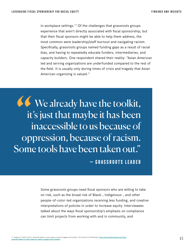in workplace settings.<sup>17</sup> Of the challenges that grassroots groups experience that aren't directly associated with fiscal sponsorship, but that their fiscal sponsors might be able to help them address, the most common were leadership/staff burnout and navigating racism. Specifically, grassroots groups named funding gaps as a result of racial bias, and having to repeatedly educate funders, intermediaries, and capacity builders. One respondent shared their reality: "Asian American led and serving organizations are underfunded compared to the rest of the field. It is usually only during times of crisis and tragedy that Asian American organizing is valued."

We already have the toolkit, it's just that maybe it has been inaccessible to us because of oppression, because of racism. Some tools have been taken out." **— Grassroots leader**

> Some grassroots groups need fiscal sponsors who are willing to take on risk, such as the broad risk of Black-, Indigenous-, and other people-of-color-led organizations receiving less funding, and creative interpretations of policies in order to increase equity. Interviewees talked about the ways fiscal sponsorship's emphasis on compliance can limit projects from working with and in community, and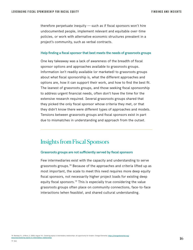therefore perpetuate inequity — such as if fiscal sponsors won't hire undocumented people, implement relevant and equitable over-time policies, or work with alternative economic structures prevalent in a project's community, such as verbal contracts.

#### **Help finding a fiscal sponsor that best meets the needs of grassroots groups**

One key takeaway was a lack of awareness of the breadth of fiscal sponsor options and approaches available to grassroots groups. Information isn't readily available (or marketed) to grassroots groups about what fiscal sponsorship is, what the different approaches and options are, how it can support their work, and how to find the best fit. The leanest of grassroots groups, and those seeking fiscal sponsorship to address urgent financial needs, often don't have the time for the extensive research required. Several grassroots groups shared that they picked the only fiscal sponsor whose criteria they met, or that they didn't know there were different types of approaches and models. Tensions between grassroots groups and fiscal sponsors exist in part due to mismatches in understanding and approach from the outset.

### Insights from Fiscal Sponsors

#### **Grassroots groups are not sufficiently served by fiscal sponsors**

Few intermediaries exist with the capacity and understanding to serve grassroots groups.18 Because of the approaches and criteria lifted up as most important, the scale to meet this need requires more deep equity fiscal sponsors, not necessarily higher project loads for existing deep equity fiscal sponsors.<sup>19</sup> This is especially true considering the value grassroots groups often place on community connections, face-to-face interactions (when feasible), and shared cultural understanding.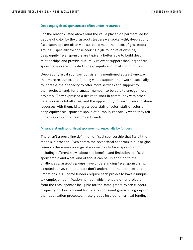#### **Deep equity fiscal sponsors are often under-resourced**

For the reasons listed above (and the value placed on partners led by people of color by the grassroots leaders we spoke with), deep equity fiscal sponsors are often well suited to meet the needs of grassroots groups. Especially for those seeking high-touch relationships, deep equity fiscal sponsors are typically better able to build deep relationships and provide culturally relevant support than larger fiscal sponsors who aren't rooted in deep equity and local communities.

Deep equity fiscal sponsors consistently mentioned at least one way that more resources and funding would support their work, especially to increase their capacity to offer more services and support to their projects (and, for a smaller number, to be able to engage more projects). They expressed a desire to work in community with other fiscal sponsors (of all sizes) and the opportunity to learn from and share resources with them. Like grassroots staff of color, staff of color at deep equity fiscal sponsors spoke of burnout, especially when they felt under-resourced to meet project needs.

#### **Misunderstandings of fiscal sponsorship, especially by funders**

There isn't a prevailing definition of fiscal sponsorship that fits all the models in practice. Even across the seven fiscal sponsors in our original research there were a range of approaches to fiscal sponsorship, including different views about the benefits and limitations of fiscal sponsorship and what kind of tool it can be. In addition to the challenges grassroots groups have understanding fiscal sponsorship, as noted above, some funders don't understand the practices and limitations (e.g., some funders require each project to have a unique tax employer identification number, which renders other projects from the fiscal sponsor ineligible for the same grant). When funders disqualify or don't account for fiscally sponsored grassroots groups in their application processes, these groups lose out on critical funding.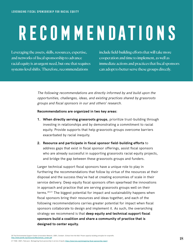# **Recommendations**

Leveraging the assets, skills, resources, expertise, and networks of fiscal sponsorship to advance racial equity is an urgent need, but one that requires systems-level shifts. Therefore, recommendations

include field-building efforts that will take more cooperation and time to implement, as well as immediate actions and practices that fiscal sponsors can adopt to better serve these groups directly.

The following recommendations are directly informed by and build upon the opportunities, challenges, ideas, and existing practices shared by grassroots groups and fiscal sponsors in our and others' research.

#### **Recommendations are organized in two key areas:**

- **1. When directly serving grassroots groups**, prioritize trust-building through investing in relationships and by demonstrating a commitment to racial equity. Provide supports that help grassroots groups overcome barriers exacerbated by racial inequity.
- **2. Resource and participate in fiscal sponsor field-building efforts** to address gaps that exist in fiscal sponsor offerings, assist fiscal sponsors who are already successful in supporting grassroots racial equity projects, and bridge the gap between these grassroots groups and funders.

Larger technical support fiscal sponsors have a unique role to play in furthering the recommendations that follow by virtue of the resources at their disposal and the success they've had at creating economies of scale in their service delivery. Deep equity fiscal sponsors often spearhead the innovations in approach and practice that are serving grassroots groups well on their terms.<sup>2021</sup> The biggest potential for impact and sustainability happens when fiscal sponsors bring their resources and ideas together, and each of the following recommendations carries greater potential for impact when fiscal sponsors collaborate to design and implement it. As such, the overarching strategy we recommend is that **deep equity and technical support fiscal sponsors build a coalition and share a community of practice that is designed to center equity.**

20 The Environmental Support Center & Innovation Networ[k](http://www.pointk.org/resources/files/echoes_screen.pdf). (2001, October). Echoes from the field: Proven capacity-building principles for nonprofits **[http://www.pointk.org/resources/files/echoes\\_screen.pdf](http://www.pointk.org/resources/files/echoes_screen.pdf)**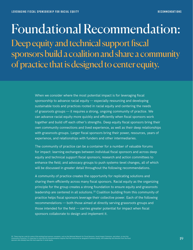# Foundational Recommendation: Deep equity and technical support fiscal sponsors build a coalition and share a community of practice that is designed to center equity.

When we consider where the most potential impact is for leveraging fiscal sponsorship to advance racial equity — especially resourcing and developing sustainable tools and practices rooted in racial equity and centering the needs of grassroots groups — it requires a strong, ongoing community of practice. We can advance racial equity more quickly and efficiently when fiscal sponsors work together and build off each other's strengths. Deep equity fiscal sponsors bring their own community connections and lived experience, as well as their deep relationships with grassroots groups. Larger fiscal sponsors bring their power, resources, years of experience, and relationships with funders and other intermediaries.

The community of practice can be a container for a number of valuable forums for impact: learning exchanges between individual fiscal sponsors and across deep equity and technical support fiscal sponsors; research and action committees to enhance the field; and advocacy groups to push systems-level changes, all of which will be discussed in greater detail throughout the following recommendations.

A community of practice creates the opportunity for replicating solutions and sharing them efficiently across many fiscal sponsors. Racial equity as the organizing principle for the group creates a strong foundation to ensure equity and grassroots leadership are centered in all solutions.22 Coalition building from this community of practice helps fiscal sponsors leverage their collective power. Each of the following recommendations — both those aimed at directly serving grassroots groups and those intended for the field — carries greater potential for impact when fiscal sponsors collaborate to design and implement it.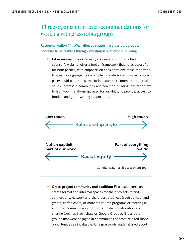# Three organization-level recommendations for working with grassroots groups

**Recommendation #1: When directly supporting grassroots groups, prioritize trust-building through investing in relationship-building.**

**Fit assessment tools:** In early conversations or on a fiscal sponsor's website, offer a tool or framework that helps assess fit for both parties, with emphasis on considerations most important to grassroots groups. For example, provide scales upon which each party could plot themselves to indicate their commitment to racial equity, interest in community and coalition-building, desire for low to high touch relationship, need for (or ability to provide) access to funders and grant-writing support, etc.



**F** Cross-project community and coalition: Fiscal sponsors can create formal and informal spaces for their projects to find connections, network and share best practices (such as meet and greets, coffee chats, or more structured programs or meetings), and offer communication tools that foster collaboration and sharing (such as Slack chats or Google Groups). Grassroots groups that were engaged in communities of practice cited those opportunities as invaluable. One grassroots leader shared about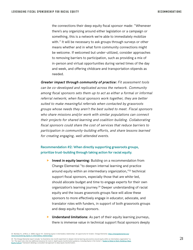the connections their deep equity fiscal sponsor made: "Whenever there's any organizing around either legislation or a campaign or something, this is a network we're able to immediately mobilize with." It will be necessary to ask groups through surveys or other means whether and in what form community connections might be welcome. If welcomed but under-utilized, consider approaches to removing barriers to participation, such as providing a mix of in-person and virtual opportunities during varied times of the day and week, and offering childcare and transportation stipends as needed.

**Greater impact through community of practice:** Fit assessment tools can be co-developed and replicated across the network. Community among fiscal sponsors sets them up to act as either a formal or informal referral network; when fiscal sponsors work together, they are better suited to make meaningful referrals when contacted by grassroots groups whose needs they aren't the best suited to meet. Fiscal sponsors who share missions and/or work with similar populations can connect their projects for shared learning and coalition-building. Collaborating fiscal sponsors could share the cost of services that reduce barriers to participation in community-building efforts, and share lessons learned for creating engaging, well-attended events.

### **Recommendation #2: When directly supporting grassroots groups, prioritize trust-building through taking action for racial equity.**

- **F** Invest in equity learning: Building on a recommendation from Change Elemental "to deepen internal learning and practice around equity within an intermediary organization,"<sup>23</sup> technical support fiscal sponsors, especially those that are white-led, should allocate budget and time to engage experts for their own organization's learning journey.24 Deeper understanding of racial equity and the issues grassroots groups face will allow these sponsors to more effectively engage in educator, advocate, and translator roles with funders, in support of both grassroots groups and deep equity fiscal sponsors.
- **Understand limitations:** As part of their equity learning journeys, there is immense value in technical support fiscal sponsors deeply

23 Bamdad, N., & Misra, S. (2020, August 14). Centering equity in intermediary relationships: An opportunity for funders. Change Elemental. **[https://changeelemental.org/](https://changeelemental.org/resources/centering-equity-in-intermediary-relationships/ ) [resources/centering-equity-in-intermediary-relationships/](https://changeelemental.org/resources/centering-equity-in-intermediary-relationships/ )**

24 The Change Elemental report includes "an illustrative nine-month experiment to deepen internal learning and practice around equity within an intermediary organization" (p.<br>16). The report also cites two additional resou **[Equity Culture](https://equityinthecenter.org/aww/)**" framework detailing a consultant-led approach to deep equity transformation.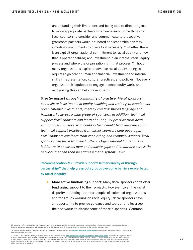understanding their limitations and being able to direct projects to more appropriate partners when necessary. Some things for fiscal sponsors to consider and communicate to prospective grassroots partners would be: board and leadership diversity, including commitments to diversify if necessary; $25$  whether there is an explicit organizational commitment to racial equity and how that is operationalized; and investment in an internal racial equity process and where the organization is in that process.<sup>26</sup> Though many organizations aspire to advance racial equity, doing so requires significant human and financial investment and internal shifts in representation, culture, practices, and policies. Not every organization is equipped to engage in deep equity work, and recognizing this can help prevent harm.

**Greater impact through community of practice:** Fiscal sponsors could share investments in equity coaching and training to supplement organizational investments, thereby creating shared language and frameworks across a wide group of sponsors. In addition, technical support fiscal sponsors can learn about equity practice from deep equity fiscal sponsors, who could in turn benefit from learning about technical support practices from larger sponsors (and deep equity fiscal sponsors can learn from each other, and technical support fiscal sponsors can learn from each other). Organizational limitations can ladder up to an assets map and indicate gaps and limitations across the network that can then be addressed at a systems level.

**Recommendation #3: Provide supports (either directly or through partnership)27 that help grassroots groups overcome barriers exacerbated by racial inequity.**

**More active fundraising support:** Many fiscal sponsors don't offer fundraising support to their projects. However, given the racial disparity in funding (both for people-of-color-led organizations and for groups working on racial equity), fiscal sponsors have an opportunity to provide guidance and tools and to leverage their networks to disrupt some of those disparities. Common

27 TSNE. (2021, February)*. Reimagining fiscal sponsorship in service of equity. <u><https://www.tsne.org/reimagining-fiscal-sponsorship-report></u>. TSNE's report suggests that fiscal<br>sponsors "develop and take advantage of ext* culturally appropriate supports efficiently. The report also suggests fiscal sponsors "experiment with revenue models that allow for integrated fiscal sponsorship and capacity building services to be rendered sustainably for grassroots organizations," which is a recommendation we'd like to lift up, and that we propose can benefit from being incubated within a community of practice.

<sup>25</sup> Including the full board and staff on the website with names, pictures, and bios can provide grassroots groups some of the information they may need to assess the best fit. Including a blog post with data regarding board and leadership diversity (and, if necessary, targets for greater diversity) can also help build trust.

<sup>26</sup> Though not a fiscal sponsor, Demos is a nonprofit intermediary organization who has **[published their racial equity journey](https://www.demos.org/research/demos-racial-equity-transformation-key-components-process-lessons)** as a practice in transparency and trust-building and to serve as a model for others.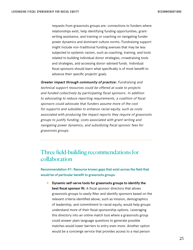requests from grassroots groups are: connections to funders where relationships exist, help identifying funding opportunities, grantwriting assistance, and training or coaching on navigating funder power dynamics and dominant culture norms. Fundraising support might include non-traditional funding avenues that may be less subjected to systemic racism, such as coaching, training, and tools related to building individual donor strategies, crowdraising tools and strategies, and accessing donor-advised funds. Individual fiscal sponsors should learn what specifically is of most benefit to advance their specific projects' goals.

**Greater impact through community of practice:** Fundraising and technical support resources could be offered at scale to projects and funded collectively by participating fiscal sponsors. In addition to advocating to reduce reporting requirements, a coalition of fiscal sponsors could advocate that funders assume more of the cost for supports and subsidies to enhance racial equity, such as costs associated with producing the impact reports they require of grassroots groups to justify funding, costs associated with grant-writing and navigating power dynamics, and subsidizing fiscal sponsor fees for grassroots groups.

## Three field-building recommendations for collaboration

**Recommendation #1: Resource known gaps that exist across the field that would be of particular benefit to grassroots groups.**

**EXECUTE:** Dynamic self-serve tools for grassroots groups to identify the **best fiscal sponsor fit:** A fiscal sponsor directory that allows grassroots groups to easily filter and identify sponsors based on the relevant criteria identified above, such as mission, demographics of leadership, and commitment to racial equity, would help groups understand more of their fiscal sponsorship options. Leveraging this directory into an online match tool where a grassroots group could answer plain language questions to generate possible matches would lower barriers to entry even more. Another option would be a concierge service that provides access to a real person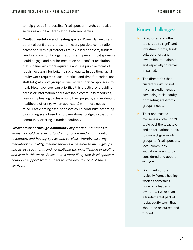to help groups find possible fiscal sponsor matches and also serves as an initial "translator" between parties.

**Conflict resolution and healing spaces:** Power dynamics and potential conflicts are present in every possible combination across and within grassroots groups, fiscal sponsors, funders, vendors, community organizations, and peers. Fiscal sponsors could engage and pay for mediation and conflict resolution that's in line with more equitable and less punitive forms of repair necessary for building racial equity. In addition, racial equity work requires space, practice, and time for leaders and staff (of grassroots groups as well as within fiscal sponsors) to heal. Fiscal sponsors can prioritize this practice by providing access or information about available community resources, resourcing healing circles among their projects, and evaluating healthcare offerings (when applicable) with these needs in mind. Participating fiscal sponsors could contribute according to a sliding scale based on organizational budget so that this community offering is funded equitably.

**Greater impact through community of practice:** Several fiscal sponsors could partner to fund and provide mediation, conflict resolution, and healing spaces and services, thereby ensuring mediators' neutrality, making services accessible to many groups and across coalitions, and normalizing the prioritization of healing and care in this work. At scale, it is more likely that fiscal sponsors could get support from funders to subsidize the cost of these services.

### Known challenges:

- Directories and other tools require significant investment (time, funds, collaboration, and ownership) to maintain, and especially to remain impartial.
- $\blacktriangleright$  The directories that currently exist do not have an explicit goal of advancing racial equity or meeting grassroots groups' needs.
- $\blacktriangleright$  Trust and trusted messengers often don't scale past the local level, and so for national tools to connect grassroots groups to fiscal sponsors, local community validation needs to be considered and apparent to users.
- Dominant culture typically frames healing work as something done on a leader's own time, rather than a fundamental part of racial equity work that should be resourced and funded.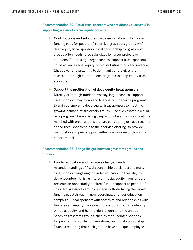**Recommendation #2: Assist fiscal sponsors who are already successful in supporting grassroots racial equity projects.**

- **F** Contributions and subsidies: Because racial inequity creates funding gaps for people-of-color-led grassroots groups and deep equity fiscal sponsors, fiscal sponsorship for grassroots groups often needs to be subsidized by larger projects or additional fundraising. Large technical support fiscal sponsors could advance racial equity by redistributing funds and revenue (that power and proximity to dominant culture gives them access to) through contributions or grants to deep equity fiscal sponsors.
- **F** Support the proliferation of deep equity fiscal sponsors: Directly or through funder advocacy, large technical support fiscal sponsors may be able to financially underwrite programs to train up emerging deep equity fiscal sponsors to meet the growing demand of grassroots groups. One such example would be a program where existing deep equity fiscal sponsors could be matched with organizations that are considering or have recently added fiscal sponsorship to their service offering, to provide mentorship and peer support, either one-on-one or through a cohort model.

### **Recommendation #3: Bridge the gap between grassroots groups and funders.**

**Funder education and narrative change: Funder** misunderstandings of fiscal sponsorship persist despite many fiscal sponsors engaging in funder education in their day-today encounters. A rising interest in racial equity from funders presents an opportunity to direct funder support to people-ofcolor-led grassroots groups (especially those facing the largest funding gaps) through a new, coordinated funder education campaign. Fiscal sponsors with access to and relationships with funders can amplify the value of grassroots groups' leadership on racial equity, and help funders understand the unique needs of grassroots groups (such as the funding disparities for people-of-color-led organizations) and fiscal sponsorship (such as requiring that each grantee have a unique employee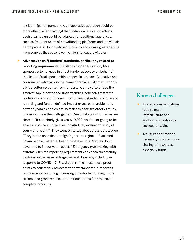tax identification number). A collaborative approach could be more effective (and lasting) than individual education efforts. Such a campaign could be adapted for additional audiences, such as frequent users of crowdfunding platforms and individuals participating in donor-advised funds, to encourage greater giving from sources that pose fewer barriers to leaders of color.

f **Advocacy to shift funders' standards, particularly related to reporting requirements:** Similar to funder education, fiscal sponsors often engage in direct funder advocacy on behalf of the field of fiscal sponsorship or specific projects. Collective and coordinated advocacy in the name of racial equity may not only elicit a better response from funders, but may also bridge the greatest gap in power and understanding between grassroots leaders of color and funders. Predominant standards of financial reporting and funder-defined impact exacerbate problematic power dynamics and create inefficiencies for grassroots groups, or even exclude them altogether. One fiscal sponsor interviewee shared, "If somebody gives you \$10,000, you're not going to be able to produce an objective, longitudinal, evaluation study of your work. Right?" They went on to say about grassroots leaders, "They're the ones that are fighting for the rights of Black and brown people, maternal health, whatever it is. So they don't have time to fill out your report." Emergency grantmaking with extremely limited reporting requirements has been successfully deployed in the wake of tragedies and disasters, including in response to COVID-19. Fiscal sponsors can use these proof points to collectively advocate for new standards in reporting requirements, including increasing unrestricted funding, more streamlined grant reports, or additional funds for projects to complete reporting.

### Known challenges:

- $\blacktriangleright$  These recommendations require major infrastructure and working in coalition to succeed at scale.
- $\blacktriangleright$  A culture shift may be necessary to foster more sharing of resources, especially funds.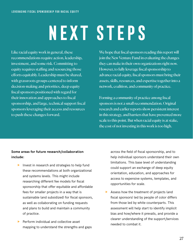# **Next Steps**

Like racial equity work in general, these recommendations require action, leadership, investment, and some risk. Committing to equity requires staffing and resourcing those efforts equitably. Leadership must be shared, with grassroots groups centered to inform decision-making and priorities, deep equity fiscal sponsors positioned with regard for their innovation and approaches to fiscal sponsorship, and large, technical support fiscal sponsors leveraging their access and resources to push these changes forward.

We hope that fiscal sponsors reading this report will join the New Venture Fund in evaluating the changes they can make in their own organizations right now. However, to fully leverage fiscal sponsorship to advance racial equity, fiscal sponsors must bring their assets, skills, resources, and expertise together into a network, coalition, and community of practice.

Forming a community of practice among fiscal sponsors is not a small recommendation. Original research and earlier reports show persistent interest in this strategy, and barriers that have prevented more scale to this point. But when racial equity is at stake, the cost of not investing in this work is too high.

### **Some areas for future research/collaboration include:**

- $\blacktriangleright$  Invest in research and strategies to help fund these recommendations at both organizational and systems levels. This might include researching different fee models for fiscal sponsorship that offer equitable and affordable fees for smaller projects in a way that is sustainable (and subsidized) for fiscal sponsors, as well as collaborating on funding requests and plans to build and maintain a community of practice.
- f Perform individual and collective asset mapping to understand the strengths and gaps

across the field of fiscal sponsorship, and to help individual sponsors understand their own limitations. This base level of understanding could support an exchange of deep equity orientation, education, and approaches for access to expensive systems, templates, and opportunities for scale.

 $\blacktriangleright$  Assess how the treatment of projects (and fiscal sponsors) led by people of color differs from those led by white counterparts. This assessment will help start to identify implicit bias and how/where it prevails, and provide a clearer understanding of the support/services needed to combat it.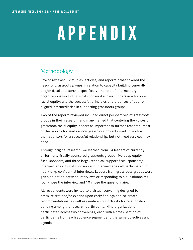# **Appendix**

# **Methodology**

Provoc reviewed 12 studies, articles, and reports<sup>28</sup> that covered the needs of grassroots groups in relation to capacity building generally and/or fiscal sponsorship specifically; the role of intermediary organizations (including fiscal sponsors) and/or funders in advancing racial equity; and the successful principles and practices of equityaligned intermediaries in supporting grassroots groups.

Two of the reports reviewed included direct perspectives of grassroots groups in their research, and many named that centering the voices of grassroots racial equity leaders as important to further research. Most of the reports focused on how grassroots projects want to work with their sponsors for a successful relationship, but not *what* services they need.

Through original research, we learned from 14 leaders of currently or formerly fiscally sponsored grassroots groups, five deep equity fiscal sponsors, and three large, technical support fiscal sponsors/ intermediaries. Fiscal sponsors and intermediaries all participated in hour-long, confidential interviews. Leaders from grassroots groups were given an option between interviews or responding to a questionnaire; four chose the interview and 10 chose the questionnaire.

All respondents were invited to a virtual convening designed to pressure test and/or expand upon early findings and co-create recommendations, as well as create an opportunity for relationshipbuilding among the research participants. Nine organizations participated across two convenings, each with a cross-section of participants from each audience segment and the same objectives and agendas.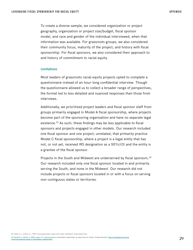To create a diverse sample, we considered organization or project geography, organization or project size/budget, fiscal sponsor model, and race and gender of the individual interviewed, when that information was available. For grassroots groups, we also considered their community focus, maturity of the project, and history with fiscal sponsorship. For fiscal sponsors, we also considered their approach to and history of commitment to racial equity.

#### **Limitations**

Most leaders of grassroots racial equity projects opted to complete a questionnaire instead of an hour-long confidential interview. Though the questionnaire allowed us to collect a broader range of perspectives, the format led to less detailed and nuanced responses than those from interviews.

Additionally, we prioritized project leaders and fiscal sponsor staff from groups primarily engaged in Model A fiscal sponsorship, where projects become part of the sponsoring organization and have no separate legal existence.<sup>29</sup> As such, these findings may be less applicable to fiscal sponsors and projects engaged in other models. Our research included one fiscal sponsor and one project, unrelated, that primarily practice Model C fiscal sponsorship, where a project is a legal entity that has not, or not yet, received IRS designation as a 501(c)(3) and the entity is a grantee of the fiscal sponsor.

Projects in the South and Midwest are underserved by fiscal sponsors.<sup>30</sup> Our research included only one fiscal sponsor located in and primarily serving the South, and none in the Midwest. Our research did not include projects or fiscal sponsors located in or with a focus on serving non-contiguous states or territories.

30 Bamdad, N., & Misra, S. (2020, August 14). Centering equity in intermediary relationships: An opportunity for funders. Change Elemental. **[https://changeelemental.org/](https://changeelemental.org/resources/centering-equity-in-intermediary-relationships/) [resources/centering-equity-in-intermediary-relationships/](https://changeelemental.org/resources/centering-equity-in-intermediary-relationships/)**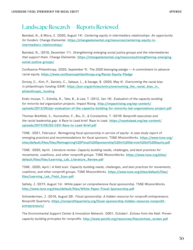### Landscape Research — Reports Reviewed

Bamdad, N., & Misra, S. (2020, August 14). Centering equity in intermediary relationships: An opportunity for funders. Change Elemental. **[https://changeelemental.org/resources/centering-equity-in](https://changeelemental.org/resources/centering-equity-in-intermediary-relationships/)[intermediary-relationships/](https://changeelemental.org/resources/centering-equity-in-intermediary-relationships/)**

Bamdad, N., (2018, December 11). Strengthening emerging social justice groups and the intermediaries that support them. Change Elemental. **[https://changeelemental.org/resources/strengthening-emerging](https://changeelemental.org/resources/strengthening-emerging-social-justice-groups/)[social-justice-groups/](https://changeelemental.org/resources/strengthening-emerging-social-justice-groups/)**

Confluence Philanthropy. (2020, September 9). The 2020 belonging pledge — A commitment to advance racial equity. **<https://www.confluencephilanthropy.org/Racial-Equity-Pledge>**

Dorsey, C., Kim, P., Daniels, C., Sakaue, L., & Savage, B. (2020, May 4). Overcoming the racial bias in philanthropic funding (SSIR). **[https://ssir.org/articles/entry/overcoming\\_the\\_racial\\_bias\\_in\\_](https://ssir.org/articles/entry/overcoming_the_racial_bias_in_philanthropic_funding) [philanthropic\\_funding](https://ssir.org/articles/entry/overcoming_the_racial_bias_in_philanthropic_funding)**

Endo-Inouye, T., Estrella, R., Tate, B., & Law, T. (2012, Jan 18). Evaluation of the capacity building for minority led organization projects. Impact Rising. **[http://impactrising.org/wp-content/](http://impactrising.org/wp-content/uploads/2013/05/spr-evaluation-of-the-capacity-building-for-minority-led-organizations-project.pdf) [uploads/2013/05/spr-evaluation-of-the-capacity-building-for-minority-led-organizations-project.pdf](http://impactrising.org/wp-content/uploads/2013/05/spr-evaluation-of-the-capacity-building-for-minority-led-organizations-project.pdf)**

Thomas-Breitfeld, S., Kunreuther, F., Biu, O., & Constantine, T. (2018) Nonprofit executives and the racial leadership gap: A Race to Lead brief. Race to Lead. **[https://racetolead.org/wp-content/](https://racetolead.org/wp-content/uploads/2019/05/ED.CEO-Race-to-Lead-Brief.pdf) [uploads/2019/05/ED.CEO-Race-to-Lead-Brief.pdf](https://racetolead.org/wp-content/uploads/2019/05/ED.CEO-Race-to-Lead-Brief.pdf)**

TSNE. (2021, February). Reimagining fiscal sponsorship in service of equity: A case study report of emerging practices and recommendations for fiscal sponsors. TSNE MissionWorks. **[https://www.tsne.org/](https://www.tsne.org/sites/default/files/files/Reimagining%20Fiscal%20Sponsorship%20in%20Service%20of%20Equity.pdf) [sites/default/files/files/Reimagining%20Fiscal%20Sponsorship%20in%20Service%20of%20Equity.pdf](https://www.tsne.org/sites/default/files/files/Reimagining%20Fiscal%20Sponsorship%20in%20Service%20of%20Equity.pdf)**

TSNE. (2020, April). Literature review: Capacity building needs, challenges, and best practices for movements, coalitions, and other nonprofit groups. TSNE MissionWorks. **[https://www.tsne.org/sites/](https://www.tsne.org/sites/default/files/files/Learning_Lab_Literature_Review.pdf) [default/files/files/Learning\\_Lab\\_Literature\\_Review.pdf](https://www.tsne.org/sites/default/files/files/Learning_Lab_Literature_Review.pdf)**

TSNE. (2020, April.) A field scan: Capacity building needs, challenges, and best practices for movements, coalitions, and other nonprofit groups. TSNE MissionWorks. **[https://www.tsne.org/sites/default/files/](https://www.tsne.org/sites/default/files/files/Learning_Lab_Field_Scan.pdf) [files/Learning\\_Lab\\_Field\\_Scan.pdf](https://www.tsne.org/sites/default/files/files/Learning_Lab_Field_Scan.pdf)**

Sattely, J. (2019, August 16). White paper on comprehensive fiscal sponsorship. TSNE MissionWorks. **[http://www.tsne.org/sites/default/files/White-Paper-Fiscal-Sponsorship.pdf](https://www.tsne.org/sites/default/files/White-Paper-Fiscal-Sponsorship.pdf)**

Schneiderman, J. (2018, August 28). Fiscal sponsorship: A hidden resource for nonprofit entrepreneurs. Nonprofit Quarterly. **[https://nonprofitquarterly.org/fiscal-sponsorship-hidden-resource-nonprofit](https://nonprofitquarterly.org/fiscal-sponsorship-hidden-resource-nonprofit-entrepreneurs/)[entrepreneurs/](https://nonprofitquarterly.org/fiscal-sponsorship-hidden-resource-nonprofit-entrepreneurs/)**

The Environmental Support Center & Innovation Network. (2001, October). Echoes from the field: Proven capacity-building principles for nonprofits. **http://www.pointk.org/resources/files/echoes\_screen.pdf**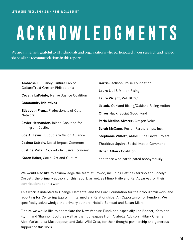# **Acknowledgments**

We are immensely grateful to all individuals and organizations who participated in our research and helped shape all the recommendations in this report:

| Ambrose Liu, Olney Culture Lab of                  | Karris Jackson, Poise Foundation               |  |
|----------------------------------------------------|------------------------------------------------|--|
| CultureTrust Greater Philadelphia                  | Laura Li, 18 Million Rising                    |  |
| <b>Cecelia LaPointe, Native Justice Coalition</b>  | Laura Wright, WA-BLOC                          |  |
| <b>Community Initiatives</b>                       | liz suk, Oakland Rising/Oakland Rising Action  |  |
| Elizabeth Franz, Professionals of Color<br>Network | <b>Oliver Hack, Social Good Fund</b>           |  |
| Javier Hernandez, Inland Coalition for             | Perla Medina Alvarez, Oregon Voice             |  |
| Immigrant Justice                                  | <b>Sarah McCann, Fusion Partnerships, Inc.</b> |  |
| Joe A. Lewis II, Southern Vision Alliance          | Stephanie Willett, AMMD Pine Grove Project     |  |
| Joshua Sattely, Social Impact Commons              | <b>Thaddeus Squire, Social Impact Commons</b>  |  |
| Justine Metz, Colorado Inclusive Economy           | <b>Urban Affairs Coalition</b>                 |  |
| Karen Baker, Social Art and Culture                | and those who participated anonymously         |  |

We would also like to acknowledge the team at Provoc, including Bettina Sferrino and Jocelyn Corbett, the primary authors of this report, as well as Mimo Haile and Raj Aggarwal for their contributions to this work.

This work is indebted to Change Elemental and the Ford Foundation for their thoughtful work and reporting for Centering Equity in Intermediary Relationships: An Opportunity for Funders. We specifically acknowledge the primary authors, Natalie Bamdad and Susan Misra.

Finally, we would like to appreciate the New Venture Fund, and especially Lee Bodner, Kathleen Flynn, and Shannon Scott, as well as their colleagues from Arabella Advisors, Hilary Cherner, Alex Matias, Lida Masoudpour, and Jake Wild Crea, for their thought partnership and generous support of this work.